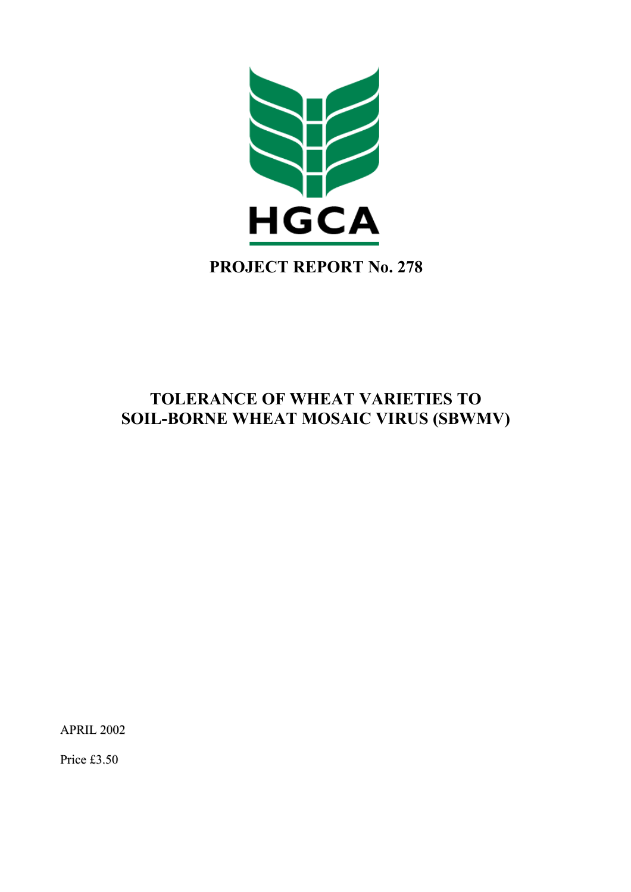

# **TOLERANCE OF WHEAT VARIETIES TO SOIL-BORNE WHEAT MOSAIC VIRUS (SBWMV)**

APRIL 2002

Price £3.50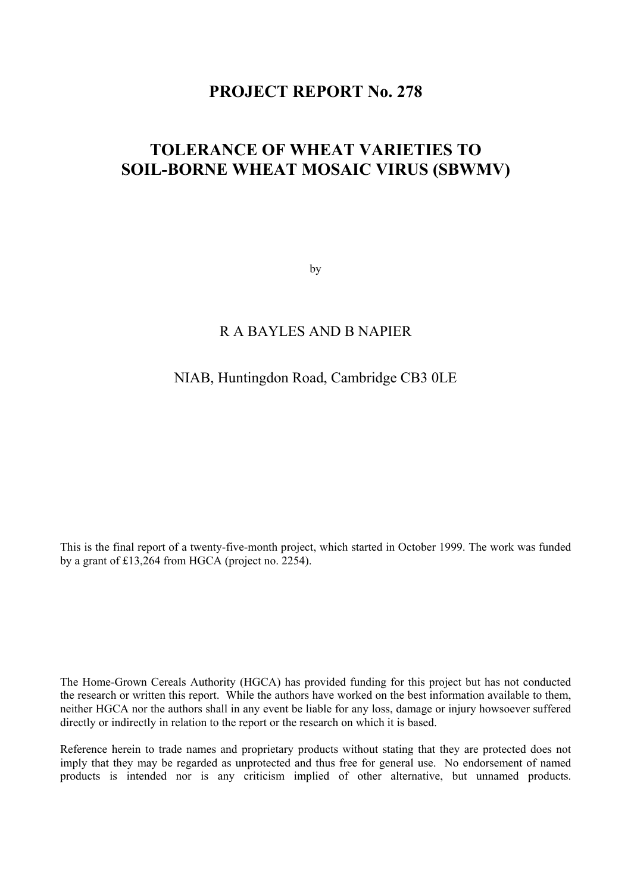# **PROJECT REPORT No. 278**

# **TOLERANCE OF WHEAT VARIETIES TO SOIL-BORNE WHEAT MOSAIC VIRUS (SBWMV)**

by

### R A BAYLES AND B NAPIER

#### NIAB, Huntingdon Road, Cambridge CB3 0LE

This is the final report of a twenty-five-month project, which started in October 1999. The work was funded by a grant of £13,264 from HGCA (project no. 2254).

The Home-Grown Cereals Authority (HGCA) has provided funding for this project but has not conducted the research or written this report. While the authors have worked on the best information available to them, neither HGCA nor the authors shall in any event be liable for any loss, damage or injury howsoever suffered directly or indirectly in relation to the report or the research on which it is based.

Reference herein to trade names and proprietary products without stating that they are protected does not imply that they may be regarded as unprotected and thus free for general use. No endorsement of named products is intended nor is any criticism implied of other alternative, but unnamed products.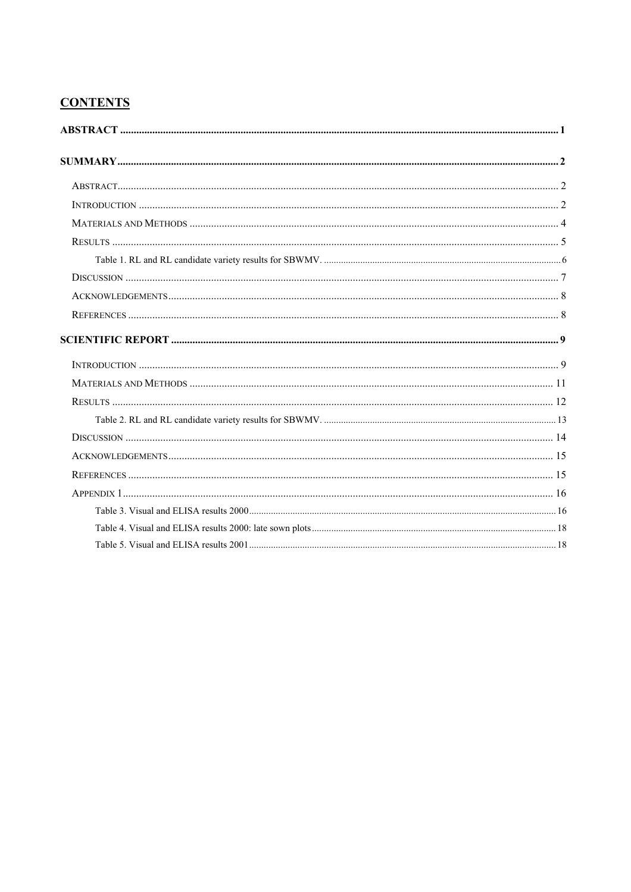# **CONTENTS**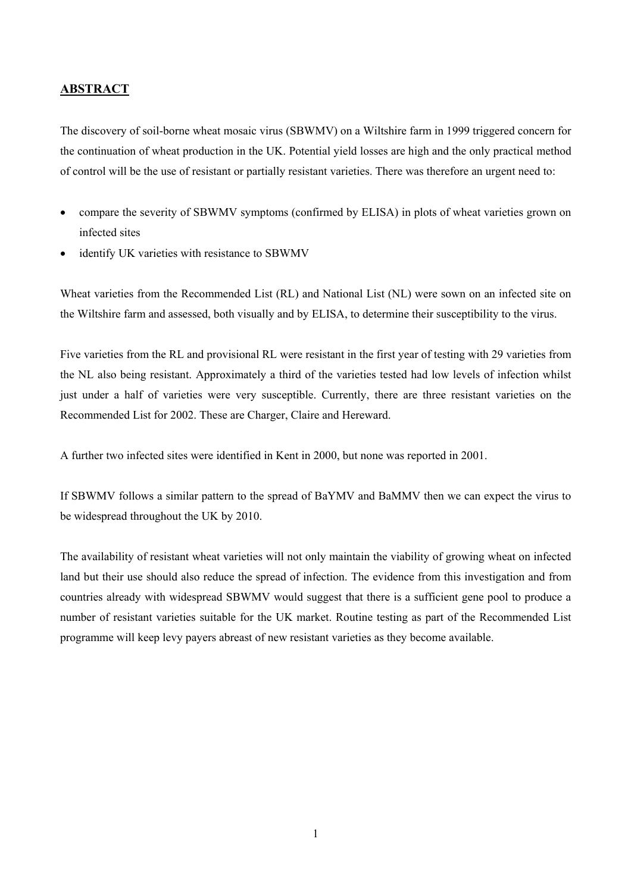#### <span id="page-3-0"></span>**ABSTRACT**

The discovery of soil-borne wheat mosaic virus (SBWMV) on a Wiltshire farm in 1999 triggered concern for the continuation of wheat production in the UK. Potential yield losses are high and the only practical method of control will be the use of resistant or partially resistant varieties. There was therefore an urgent need to:

- compare the severity of SBWMV symptoms (confirmed by ELISA) in plots of wheat varieties grown on infected sites
- identify UK varieties with resistance to SBWMV

Wheat varieties from the Recommended List (RL) and National List (NL) were sown on an infected site on the Wiltshire farm and assessed, both visually and by ELISA, to determine their susceptibility to the virus.

Five varieties from the RL and provisional RL were resistant in the first year of testing with 29 varieties from the NL also being resistant. Approximately a third of the varieties tested had low levels of infection whilst just under a half of varieties were very susceptible. Currently, there are three resistant varieties on the Recommended List for 2002. These are Charger, Claire and Hereward.

A further two infected sites were identified in Kent in 2000, but none was reported in 2001.

If SBWMV follows a similar pattern to the spread of BaYMV and BaMMV then we can expect the virus to be widespread throughout the UK by 2010.

The availability of resistant wheat varieties will not only maintain the viability of growing wheat on infected land but their use should also reduce the spread of infection. The evidence from this investigation and from countries already with widespread SBWMV would suggest that there is a sufficient gene pool to produce a number of resistant varieties suitable for the UK market. Routine testing as part of the Recommended List programme will keep levy payers abreast of new resistant varieties as they become available.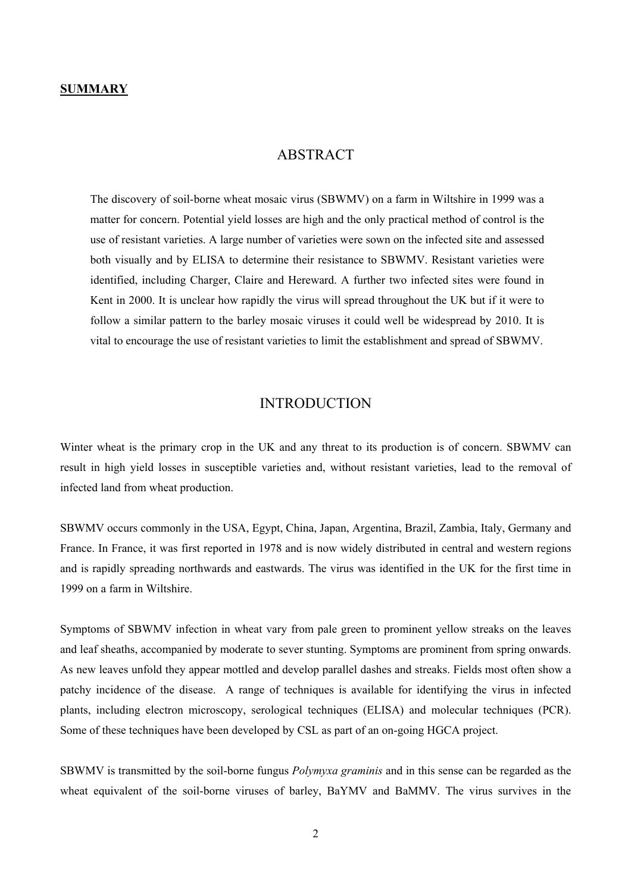#### **ABSTRACT**

<span id="page-4-0"></span>The discovery of soil-borne wheat mosaic virus (SBWMV) on a farm in Wiltshire in 1999 was a matter for concern. Potential yield losses are high and the only practical method of control is the use of resistant varieties. A large number of varieties were sown on the infected site and assessed both visually and by ELISA to determine their resistance to SBWMV. Resistant varieties were identified, including Charger, Claire and Hereward. A further two infected sites were found in Kent in 2000. It is unclear how rapidly the virus will spread throughout the UK but if it were to follow a similar pattern to the barley mosaic viruses it could well be widespread by 2010. It is vital to encourage the use of resistant varieties to limit the establishment and spread of SBWMV.

#### **INTRODUCTION**

Winter wheat is the primary crop in the UK and any threat to its production is of concern. SBWMV can result in high yield losses in susceptible varieties and, without resistant varieties, lead to the removal of infected land from wheat production.

SBWMV occurs commonly in the USA, Egypt, China, Japan, Argentina, Brazil, Zambia, Italy, Germany and France. In France, it was first reported in 1978 and is now widely distributed in central and western regions and is rapidly spreading northwards and eastwards. The virus was identified in the UK for the first time in 1999 on a farm in Wiltshire.

Symptoms of SBWMV infection in wheat vary from pale green to prominent yellow streaks on the leaves and leaf sheaths, accompanied by moderate to sever stunting. Symptoms are prominent from spring onwards. As new leaves unfold they appear mottled and develop parallel dashes and streaks. Fields most often show a patchy incidence of the disease. A range of techniques is available for identifying the virus in infected plants, including electron microscopy, serological techniques (ELISA) and molecular techniques (PCR). Some of these techniques have been developed by CSL as part of an on-going HGCA project.

SBWMV is transmitted by the soil-borne fungus *Polymyxa graminis* and in this sense can be regarded as the wheat equivalent of the soil-borne viruses of barley, BaYMV and BaMMV. The virus survives in the

2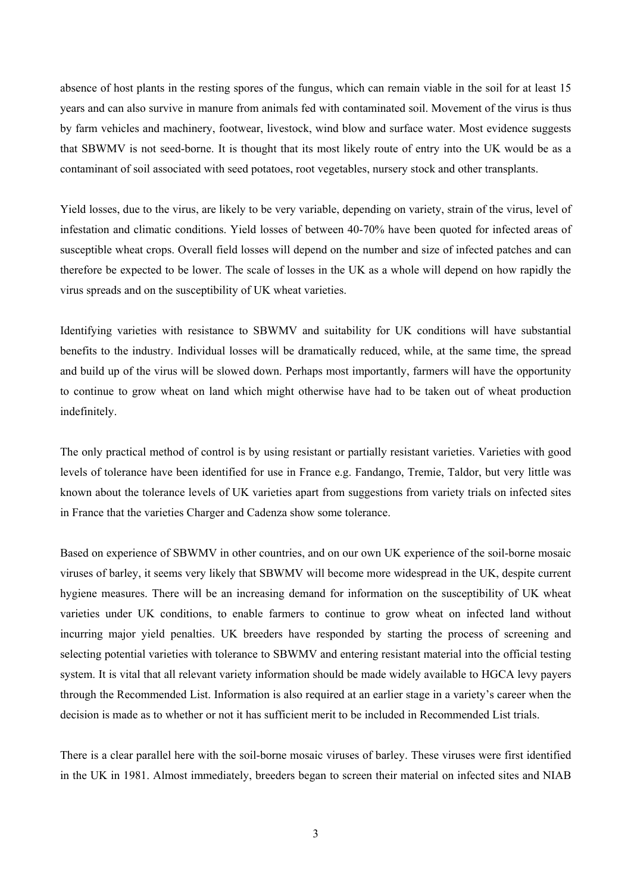absence of host plants in the resting spores of the fungus, which can remain viable in the soil for at least 15 years and can also survive in manure from animals fed with contaminated soil. Movement of the virus is thus by farm vehicles and machinery, footwear, livestock, wind blow and surface water. Most evidence suggests that SBWMV is not seed-borne. It is thought that its most likely route of entry into the UK would be as a contaminant of soil associated with seed potatoes, root vegetables, nursery stock and other transplants.

Yield losses, due to the virus, are likely to be very variable, depending on variety, strain of the virus, level of infestation and climatic conditions. Yield losses of between 40-70% have been quoted for infected areas of susceptible wheat crops. Overall field losses will depend on the number and size of infected patches and can therefore be expected to be lower. The scale of losses in the UK as a whole will depend on how rapidly the virus spreads and on the susceptibility of UK wheat varieties.

Identifying varieties with resistance to SBWMV and suitability for UK conditions will have substantial benefits to the industry. Individual losses will be dramatically reduced, while, at the same time, the spread and build up of the virus will be slowed down. Perhaps most importantly, farmers will have the opportunity to continue to grow wheat on land which might otherwise have had to be taken out of wheat production indefinitely.

The only practical method of control is by using resistant or partially resistant varieties. Varieties with good levels of tolerance have been identified for use in France e.g. Fandango, Tremie, Taldor, but very little was known about the tolerance levels of UK varieties apart from suggestions from variety trials on infected sites in France that the varieties Charger and Cadenza show some tolerance.

Based on experience of SBWMV in other countries, and on our own UK experience of the soil-borne mosaic viruses of barley, it seems very likely that SBWMV will become more widespread in the UK, despite current hygiene measures. There will be an increasing demand for information on the susceptibility of UK wheat varieties under UK conditions, to enable farmers to continue to grow wheat on infected land without incurring major yield penalties. UK breeders have responded by starting the process of screening and selecting potential varieties with tolerance to SBWMV and entering resistant material into the official testing system. It is vital that all relevant variety information should be made widely available to HGCA levy payers through the Recommended List. Information is also required at an earlier stage in a variety's career when the decision is made as to whether or not it has sufficient merit to be included in Recommended List trials.

There is a clear parallel here with the soil-borne mosaic viruses of barley. These viruses were first identified in the UK in 1981. Almost immediately, breeders began to screen their material on infected sites and NIAB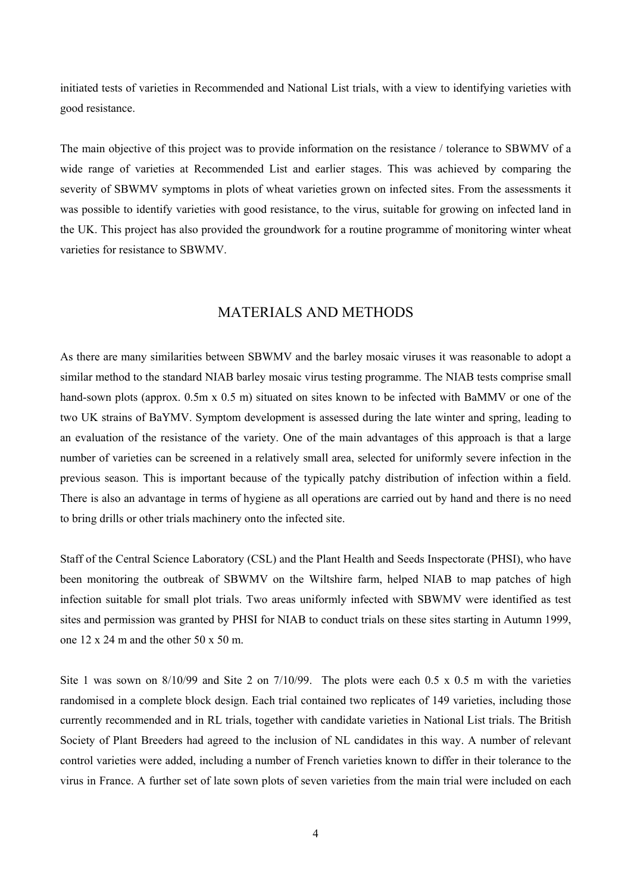<span id="page-6-0"></span>initiated tests of varieties in Recommended and National List trials, with a view to identifying varieties with good resistance.

The main objective of this project was to provide information on the resistance / tolerance to SBWMV of a wide range of varieties at Recommended List and earlier stages. This was achieved by comparing the severity of SBWMV symptoms in plots of wheat varieties grown on infected sites. From the assessments it was possible to identify varieties with good resistance, to the virus, suitable for growing on infected land in the UK. This project has also provided the groundwork for a routine programme of monitoring winter wheat varieties for resistance to SBWMV.

#### MATERIALS AND METHODS

As there are many similarities between SBWMV and the barley mosaic viruses it was reasonable to adopt a similar method to the standard NIAB barley mosaic virus testing programme. The NIAB tests comprise small hand-sown plots (approx. 0.5m x 0.5 m) situated on sites known to be infected with BaMMV or one of the two UK strains of BaYMV. Symptom development is assessed during the late winter and spring, leading to an evaluation of the resistance of the variety. One of the main advantages of this approach is that a large number of varieties can be screened in a relatively small area, selected for uniformly severe infection in the previous season. This is important because of the typically patchy distribution of infection within a field. There is also an advantage in terms of hygiene as all operations are carried out by hand and there is no need to bring drills or other trials machinery onto the infected site.

Staff of the Central Science Laboratory (CSL) and the Plant Health and Seeds Inspectorate (PHSI), who have been monitoring the outbreak of SBWMV on the Wiltshire farm, helped NIAB to map patches of high infection suitable for small plot trials. Two areas uniformly infected with SBWMV were identified as test sites and permission was granted by PHSI for NIAB to conduct trials on these sites starting in Autumn 1999, one  $12 \times 24$  m and the other  $50 \times 50$  m.

Site 1 was sown on  $8/10/99$  and Site 2 on  $7/10/99$ . The plots were each 0.5 x 0.5 m with the varieties randomised in a complete block design. Each trial contained two replicates of 149 varieties, including those currently recommended and in RL trials, together with candidate varieties in National List trials. The British Society of Plant Breeders had agreed to the inclusion of NL candidates in this way. A number of relevant control varieties were added, including a number of French varieties known to differ in their tolerance to the virus in France. A further set of late sown plots of seven varieties from the main trial were included on each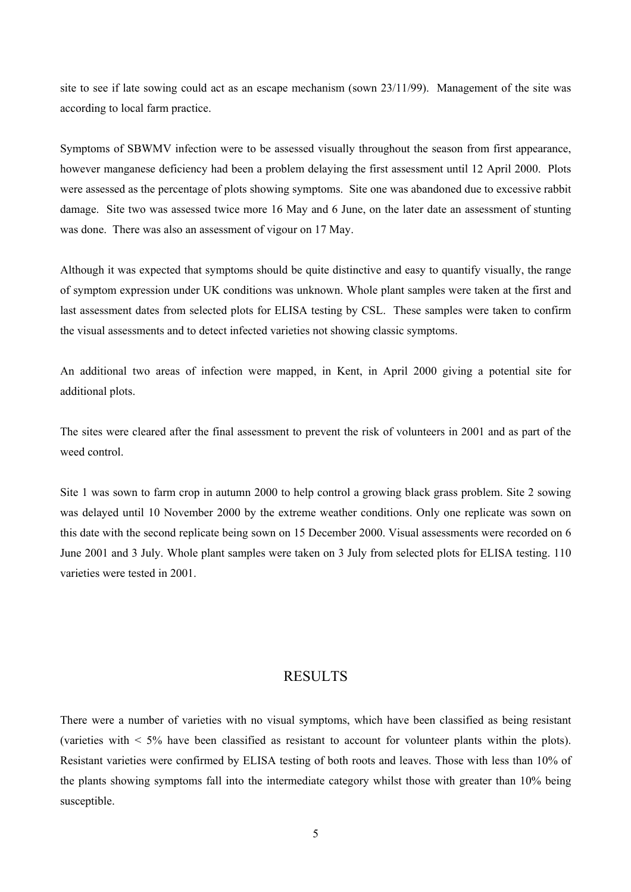<span id="page-7-0"></span>site to see if late sowing could act as an escape mechanism (sown 23/11/99). Management of the site was according to local farm practice.

Symptoms of SBWMV infection were to be assessed visually throughout the season from first appearance, however manganese deficiency had been a problem delaying the first assessment until 12 April 2000. Plots were assessed as the percentage of plots showing symptoms. Site one was abandoned due to excessive rabbit damage. Site two was assessed twice more 16 May and 6 June, on the later date an assessment of stunting was done. There was also an assessment of vigour on 17 May.

Although it was expected that symptoms should be quite distinctive and easy to quantify visually, the range of symptom expression under UK conditions was unknown. Whole plant samples were taken at the first and last assessment dates from selected plots for ELISA testing by CSL. These samples were taken to confirm the visual assessments and to detect infected varieties not showing classic symptoms.

An additional two areas of infection were mapped, in Kent, in April 2000 giving a potential site for additional plots.

The sites were cleared after the final assessment to prevent the risk of volunteers in 2001 and as part of the weed control.

Site 1 was sown to farm crop in autumn 2000 to help control a growing black grass problem. Site 2 sowing was delayed until 10 November 2000 by the extreme weather conditions. Only one replicate was sown on this date with the second replicate being sown on 15 December 2000. Visual assessments were recorded on 6 June 2001 and 3 July. Whole plant samples were taken on 3 July from selected plots for ELISA testing. 110 varieties were tested in 2001.

#### RESULTS

There were a number of varieties with no visual symptoms, which have been classified as being resistant (varieties with < 5% have been classified as resistant to account for volunteer plants within the plots). Resistant varieties were confirmed by ELISA testing of both roots and leaves. Those with less than 10% of the plants showing symptoms fall into the intermediate category whilst those with greater than 10% being susceptible.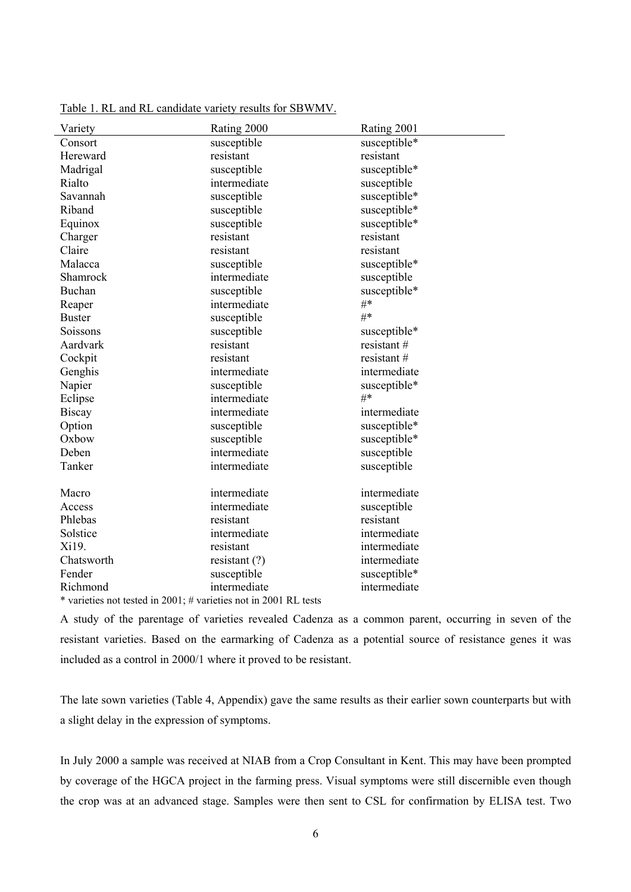| susceptible*<br>Consort<br>susceptible<br>Hereward<br>resistant<br>resistant<br>Madrigal<br>susceptible<br>susceptible*<br>Rialto<br>intermediate<br>susceptible<br>susceptible<br>susceptible*<br>Savannah<br>Riband<br>susceptible<br>susceptible*<br>susceptible*<br>Equinox<br>susceptible<br>resistant<br>resistant<br>Charger<br>Claire<br>resistant<br>resistant<br>Malacca<br>susceptible<br>susceptible*<br>intermediate<br>susceptible<br>Shamrock<br>Buchan<br>susceptible*<br>susceptible<br>#*<br>intermediate<br>Reaper<br>#*<br><b>Buster</b><br>susceptible<br>Soissons<br>susceptible<br>susceptible*<br>resistant#<br>Aardvark<br>resistant<br>Cockpit<br>resistant<br>resistant#<br>intermediate<br>intermediate<br>Genghis<br>Napier<br>susceptible<br>susceptible*<br>$#*$<br>intermediate<br>Eclipse | Variety | Rating 2000 | Rating 2001 |
|----------------------------------------------------------------------------------------------------------------------------------------------------------------------------------------------------------------------------------------------------------------------------------------------------------------------------------------------------------------------------------------------------------------------------------------------------------------------------------------------------------------------------------------------------------------------------------------------------------------------------------------------------------------------------------------------------------------------------------------------------------------------------------------------------------------------------|---------|-------------|-------------|
|                                                                                                                                                                                                                                                                                                                                                                                                                                                                                                                                                                                                                                                                                                                                                                                                                            |         |             |             |
|                                                                                                                                                                                                                                                                                                                                                                                                                                                                                                                                                                                                                                                                                                                                                                                                                            |         |             |             |
|                                                                                                                                                                                                                                                                                                                                                                                                                                                                                                                                                                                                                                                                                                                                                                                                                            |         |             |             |
|                                                                                                                                                                                                                                                                                                                                                                                                                                                                                                                                                                                                                                                                                                                                                                                                                            |         |             |             |
|                                                                                                                                                                                                                                                                                                                                                                                                                                                                                                                                                                                                                                                                                                                                                                                                                            |         |             |             |
|                                                                                                                                                                                                                                                                                                                                                                                                                                                                                                                                                                                                                                                                                                                                                                                                                            |         |             |             |
|                                                                                                                                                                                                                                                                                                                                                                                                                                                                                                                                                                                                                                                                                                                                                                                                                            |         |             |             |
|                                                                                                                                                                                                                                                                                                                                                                                                                                                                                                                                                                                                                                                                                                                                                                                                                            |         |             |             |
|                                                                                                                                                                                                                                                                                                                                                                                                                                                                                                                                                                                                                                                                                                                                                                                                                            |         |             |             |
|                                                                                                                                                                                                                                                                                                                                                                                                                                                                                                                                                                                                                                                                                                                                                                                                                            |         |             |             |
|                                                                                                                                                                                                                                                                                                                                                                                                                                                                                                                                                                                                                                                                                                                                                                                                                            |         |             |             |
|                                                                                                                                                                                                                                                                                                                                                                                                                                                                                                                                                                                                                                                                                                                                                                                                                            |         |             |             |
|                                                                                                                                                                                                                                                                                                                                                                                                                                                                                                                                                                                                                                                                                                                                                                                                                            |         |             |             |
|                                                                                                                                                                                                                                                                                                                                                                                                                                                                                                                                                                                                                                                                                                                                                                                                                            |         |             |             |
|                                                                                                                                                                                                                                                                                                                                                                                                                                                                                                                                                                                                                                                                                                                                                                                                                            |         |             |             |
|                                                                                                                                                                                                                                                                                                                                                                                                                                                                                                                                                                                                                                                                                                                                                                                                                            |         |             |             |
|                                                                                                                                                                                                                                                                                                                                                                                                                                                                                                                                                                                                                                                                                                                                                                                                                            |         |             |             |
|                                                                                                                                                                                                                                                                                                                                                                                                                                                                                                                                                                                                                                                                                                                                                                                                                            |         |             |             |
|                                                                                                                                                                                                                                                                                                                                                                                                                                                                                                                                                                                                                                                                                                                                                                                                                            |         |             |             |
|                                                                                                                                                                                                                                                                                                                                                                                                                                                                                                                                                                                                                                                                                                                                                                                                                            |         |             |             |
| <b>Biscay</b><br>intermediate<br>intermediate                                                                                                                                                                                                                                                                                                                                                                                                                                                                                                                                                                                                                                                                                                                                                                              |         |             |             |
| Option<br>susceptible<br>susceptible*                                                                                                                                                                                                                                                                                                                                                                                                                                                                                                                                                                                                                                                                                                                                                                                      |         |             |             |
| Oxbow<br>susceptible<br>susceptible*                                                                                                                                                                                                                                                                                                                                                                                                                                                                                                                                                                                                                                                                                                                                                                                       |         |             |             |
| Deben<br>intermediate<br>susceptible                                                                                                                                                                                                                                                                                                                                                                                                                                                                                                                                                                                                                                                                                                                                                                                       |         |             |             |
| Tanker<br>intermediate<br>susceptible                                                                                                                                                                                                                                                                                                                                                                                                                                                                                                                                                                                                                                                                                                                                                                                      |         |             |             |
|                                                                                                                                                                                                                                                                                                                                                                                                                                                                                                                                                                                                                                                                                                                                                                                                                            |         |             |             |
| intermediate<br>intermediate<br>Macro                                                                                                                                                                                                                                                                                                                                                                                                                                                                                                                                                                                                                                                                                                                                                                                      |         |             |             |
| intermediate<br>Access<br>susceptible                                                                                                                                                                                                                                                                                                                                                                                                                                                                                                                                                                                                                                                                                                                                                                                      |         |             |             |
| Phlebas<br>resistant<br>resistant                                                                                                                                                                                                                                                                                                                                                                                                                                                                                                                                                                                                                                                                                                                                                                                          |         |             |             |
| Solstice<br>intermediate<br>intermediate                                                                                                                                                                                                                                                                                                                                                                                                                                                                                                                                                                                                                                                                                                                                                                                   |         |             |             |
| Xi19.<br>resistant<br>intermediate                                                                                                                                                                                                                                                                                                                                                                                                                                                                                                                                                                                                                                                                                                                                                                                         |         |             |             |
| Chatsworth<br>intermediate<br>resistant $(?)$                                                                                                                                                                                                                                                                                                                                                                                                                                                                                                                                                                                                                                                                                                                                                                              |         |             |             |
| Fender<br>susceptible*<br>susceptible                                                                                                                                                                                                                                                                                                                                                                                                                                                                                                                                                                                                                                                                                                                                                                                      |         |             |             |
| Richmond<br>intermediate<br>intermediate<br>$\cdots$ $\cdots$ 0001 DL<br>$\mathbf{L}$ , and $\mathbf{L}$<br>$\left(1 + \frac{1}{2}\right)$ $\left(1 + \frac{1}{2}\right)$ $\left(1 + \frac{1}{2}\right)$                                                                                                                                                                                                                                                                                                                                                                                                                                                                                                                                                                                                                   |         |             |             |

<span id="page-8-0"></span>Table 1. RL and RL candidate variety results for SBWMV.

\* varieties not tested in 2001; # varieties not in 2001 RL tests

A study of the parentage of varieties revealed Cadenza as a common parent, occurring in seven of the resistant varieties. Based on the earmarking of Cadenza as a potential source of resistance genes it was included as a control in 2000/1 where it proved to be resistant.

The late sown varieties (Table 4, Appendix) gave the same results as their earlier sown counterparts but with a slight delay in the expression of symptoms.

In July 2000 a sample was received at NIAB from a Crop Consultant in Kent. This may have been prompted by coverage of the HGCA project in the farming press. Visual symptoms were still discernible even though the crop was at an advanced stage. Samples were then sent to CSL for confirmation by ELISA test. Two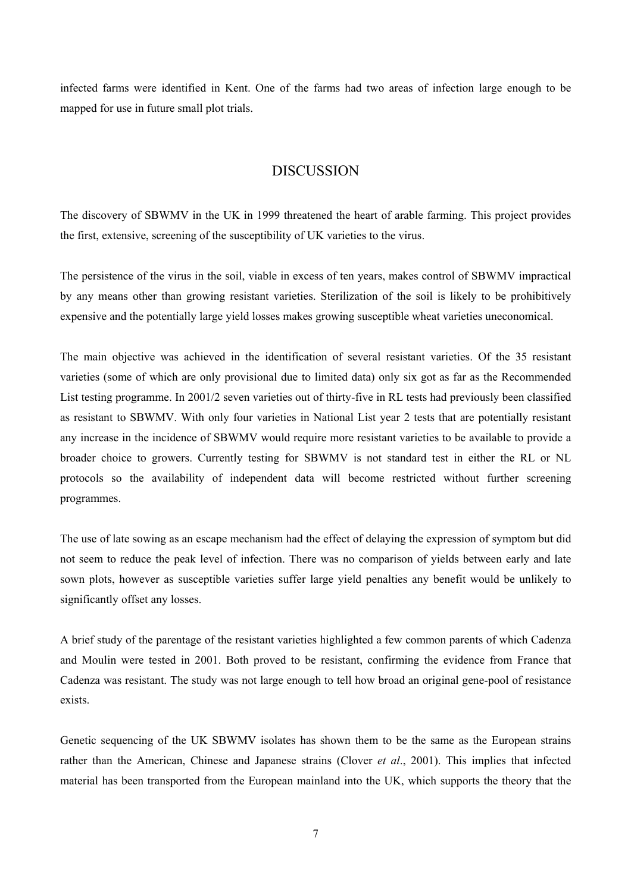<span id="page-9-0"></span>infected farms were identified in Kent. One of the farms had two areas of infection large enough to be mapped for use in future small plot trials.

#### DISCUSSION

The discovery of SBWMV in the UK in 1999 threatened the heart of arable farming. This project provides the first, extensive, screening of the susceptibility of UK varieties to the virus.

The persistence of the virus in the soil, viable in excess of ten years, makes control of SBWMV impractical by any means other than growing resistant varieties. Sterilization of the soil is likely to be prohibitively expensive and the potentially large yield losses makes growing susceptible wheat varieties uneconomical.

The main objective was achieved in the identification of several resistant varieties. Of the 35 resistant varieties (some of which are only provisional due to limited data) only six got as far as the Recommended List testing programme. In 2001/2 seven varieties out of thirty-five in RL tests had previously been classified as resistant to SBWMV. With only four varieties in National List year 2 tests that are potentially resistant any increase in the incidence of SBWMV would require more resistant varieties to be available to provide a broader choice to growers. Currently testing for SBWMV is not standard test in either the RL or NL protocols so the availability of independent data will become restricted without further screening programmes.

The use of late sowing as an escape mechanism had the effect of delaying the expression of symptom but did not seem to reduce the peak level of infection. There was no comparison of yields between early and late sown plots, however as susceptible varieties suffer large yield penalties any benefit would be unlikely to significantly offset any losses.

A brief study of the parentage of the resistant varieties highlighted a few common parents of which Cadenza and Moulin were tested in 2001. Both proved to be resistant, confirming the evidence from France that Cadenza was resistant. The study was not large enough to tell how broad an original gene-pool of resistance exists.

Genetic sequencing of the UK SBWMV isolates has shown them to be the same as the European strains rather than the American, Chinese and Japanese strains (Clover *et al*., 2001). This implies that infected material has been transported from the European mainland into the UK, which supports the theory that the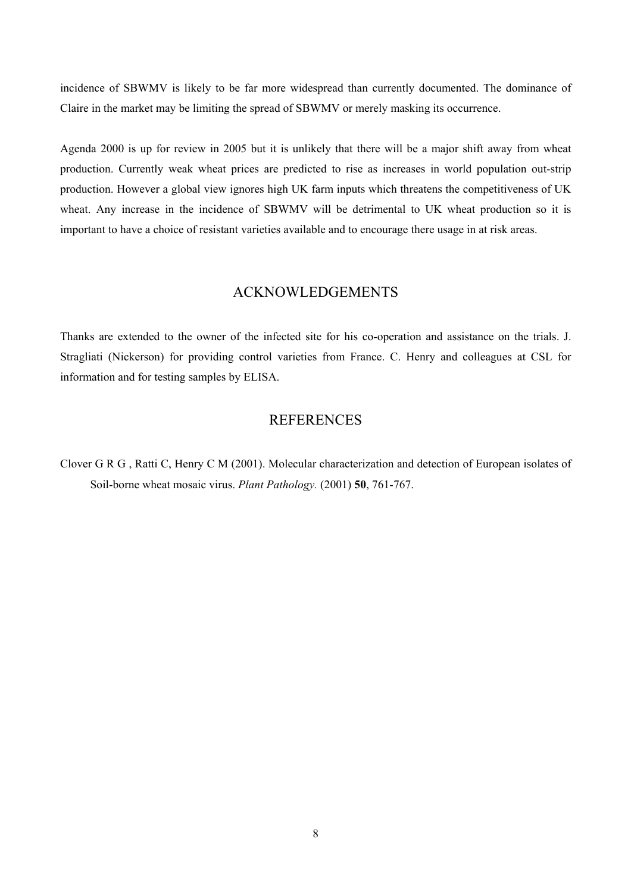<span id="page-10-0"></span>incidence of SBWMV is likely to be far more widespread than currently documented. The dominance of Claire in the market may be limiting the spread of SBWMV or merely masking its occurrence.

Agenda 2000 is up for review in 2005 but it is unlikely that there will be a major shift away from wheat production. Currently weak wheat prices are predicted to rise as increases in world population out-strip production. However a global view ignores high UK farm inputs which threatens the competitiveness of UK wheat. Any increase in the incidence of SBWMV will be detrimental to UK wheat production so it is important to have a choice of resistant varieties available and to encourage there usage in at risk areas.

#### ACKNOWLEDGEMENTS

Thanks are extended to the owner of the infected site for his co-operation and assistance on the trials. J. Stragliati (Nickerson) for providing control varieties from France. C. Henry and colleagues at CSL for information and for testing samples by ELISA.

#### **REFERENCES**

Clover G R G , Ratti C, Henry C M (2001). Molecular characterization and detection of European isolates of Soil-borne wheat mosaic virus. *Plant Pathology.* (2001) **50**, 761-767.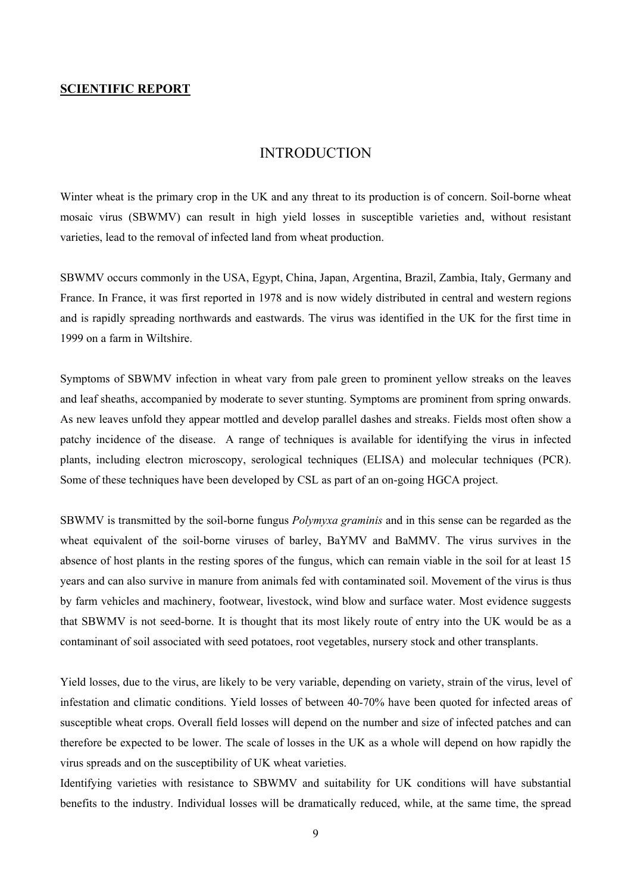#### <span id="page-11-0"></span>**SCIENTIFIC REPORT**

#### INTRODUCTION

Winter wheat is the primary crop in the UK and any threat to its production is of concern. Soil-borne wheat mosaic virus (SBWMV) can result in high yield losses in susceptible varieties and, without resistant varieties, lead to the removal of infected land from wheat production.

SBWMV occurs commonly in the USA, Egypt, China, Japan, Argentina, Brazil, Zambia, Italy, Germany and France. In France, it was first reported in 1978 and is now widely distributed in central and western regions and is rapidly spreading northwards and eastwards. The virus was identified in the UK for the first time in 1999 on a farm in Wiltshire.

Symptoms of SBWMV infection in wheat vary from pale green to prominent yellow streaks on the leaves and leaf sheaths, accompanied by moderate to sever stunting. Symptoms are prominent from spring onwards. As new leaves unfold they appear mottled and develop parallel dashes and streaks. Fields most often show a patchy incidence of the disease. A range of techniques is available for identifying the virus in infected plants, including electron microscopy, serological techniques (ELISA) and molecular techniques (PCR). Some of these techniques have been developed by CSL as part of an on-going HGCA project.

SBWMV is transmitted by the soil-borne fungus *Polymyxa graminis* and in this sense can be regarded as the wheat equivalent of the soil-borne viruses of barley, BaYMV and BaMMV. The virus survives in the absence of host plants in the resting spores of the fungus, which can remain viable in the soil for at least 15 years and can also survive in manure from animals fed with contaminated soil. Movement of the virus is thus by farm vehicles and machinery, footwear, livestock, wind blow and surface water. Most evidence suggests that SBWMV is not seed-borne. It is thought that its most likely route of entry into the UK would be as a contaminant of soil associated with seed potatoes, root vegetables, nursery stock and other transplants.

Yield losses, due to the virus, are likely to be very variable, depending on variety, strain of the virus, level of infestation and climatic conditions. Yield losses of between 40-70% have been quoted for infected areas of susceptible wheat crops. Overall field losses will depend on the number and size of infected patches and can therefore be expected to be lower. The scale of losses in the UK as a whole will depend on how rapidly the virus spreads and on the susceptibility of UK wheat varieties.

Identifying varieties with resistance to SBWMV and suitability for UK conditions will have substantial benefits to the industry. Individual losses will be dramatically reduced, while, at the same time, the spread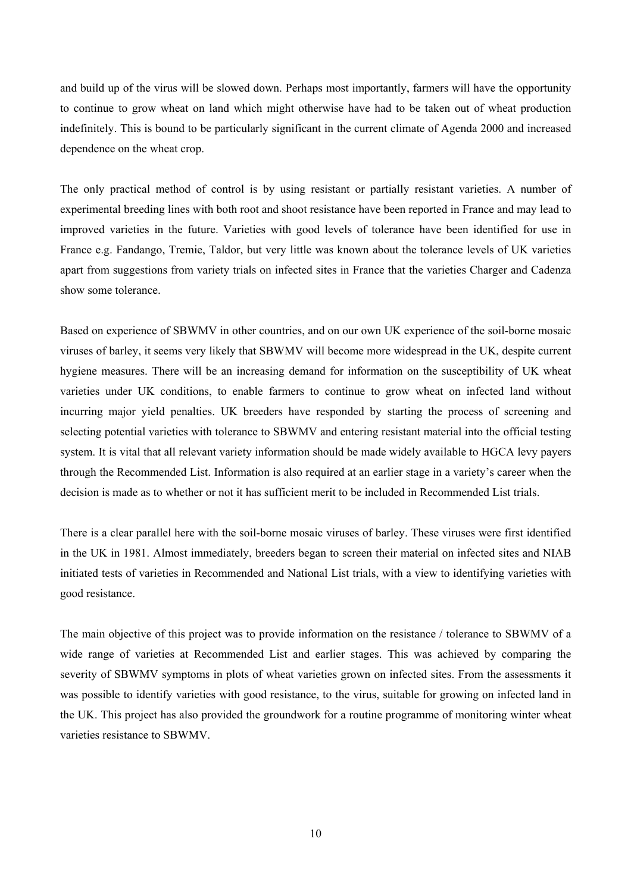and build up of the virus will be slowed down. Perhaps most importantly, farmers will have the opportunity to continue to grow wheat on land which might otherwise have had to be taken out of wheat production indefinitely. This is bound to be particularly significant in the current climate of Agenda 2000 and increased dependence on the wheat crop.

The only practical method of control is by using resistant or partially resistant varieties. A number of experimental breeding lines with both root and shoot resistance have been reported in France and may lead to improved varieties in the future. Varieties with good levels of tolerance have been identified for use in France e.g. Fandango, Tremie, Taldor, but very little was known about the tolerance levels of UK varieties apart from suggestions from variety trials on infected sites in France that the varieties Charger and Cadenza show some tolerance.

Based on experience of SBWMV in other countries, and on our own UK experience of the soil-borne mosaic viruses of barley, it seems very likely that SBWMV will become more widespread in the UK, despite current hygiene measures. There will be an increasing demand for information on the susceptibility of UK wheat varieties under UK conditions, to enable farmers to continue to grow wheat on infected land without incurring major yield penalties. UK breeders have responded by starting the process of screening and selecting potential varieties with tolerance to SBWMV and entering resistant material into the official testing system. It is vital that all relevant variety information should be made widely available to HGCA levy payers through the Recommended List. Information is also required at an earlier stage in a variety's career when the decision is made as to whether or not it has sufficient merit to be included in Recommended List trials.

There is a clear parallel here with the soil-borne mosaic viruses of barley. These viruses were first identified in the UK in 1981. Almost immediately, breeders began to screen their material on infected sites and NIAB initiated tests of varieties in Recommended and National List trials, with a view to identifying varieties with good resistance.

The main objective of this project was to provide information on the resistance / tolerance to SBWMV of a wide range of varieties at Recommended List and earlier stages. This was achieved by comparing the severity of SBWMV symptoms in plots of wheat varieties grown on infected sites. From the assessments it was possible to identify varieties with good resistance, to the virus, suitable for growing on infected land in the UK. This project has also provided the groundwork for a routine programme of monitoring winter wheat varieties resistance to SBWMV.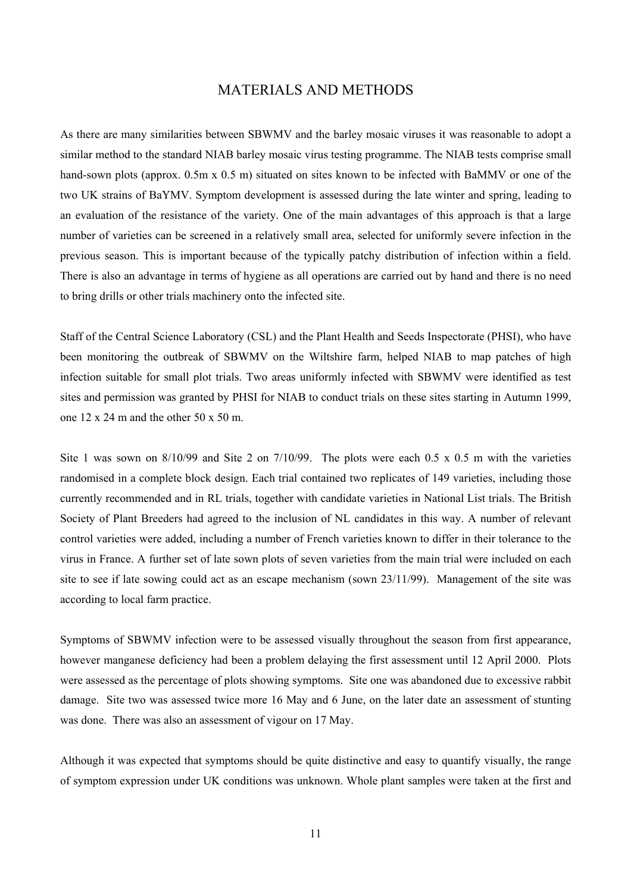#### MATERIALS AND METHODS

<span id="page-13-0"></span>As there are many similarities between SBWMV and the barley mosaic viruses it was reasonable to adopt a similar method to the standard NIAB barley mosaic virus testing programme. The NIAB tests comprise small hand-sown plots (approx. 0.5m x 0.5 m) situated on sites known to be infected with BaMMV or one of the two UK strains of BaYMV. Symptom development is assessed during the late winter and spring, leading to an evaluation of the resistance of the variety. One of the main advantages of this approach is that a large number of varieties can be screened in a relatively small area, selected for uniformly severe infection in the previous season. This is important because of the typically patchy distribution of infection within a field. There is also an advantage in terms of hygiene as all operations are carried out by hand and there is no need to bring drills or other trials machinery onto the infected site.

Staff of the Central Science Laboratory (CSL) and the Plant Health and Seeds Inspectorate (PHSI), who have been monitoring the outbreak of SBWMV on the Wiltshire farm, helped NIAB to map patches of high infection suitable for small plot trials. Two areas uniformly infected with SBWMV were identified as test sites and permission was granted by PHSI for NIAB to conduct trials on these sites starting in Autumn 1999, one 12 x 24 m and the other 50 x 50 m.

Site 1 was sown on 8/10/99 and Site 2 on 7/10/99. The plots were each 0.5 x 0.5 m with the varieties randomised in a complete block design. Each trial contained two replicates of 149 varieties, including those currently recommended and in RL trials, together with candidate varieties in National List trials. The British Society of Plant Breeders had agreed to the inclusion of NL candidates in this way. A number of relevant control varieties were added, including a number of French varieties known to differ in their tolerance to the virus in France. A further set of late sown plots of seven varieties from the main trial were included on each site to see if late sowing could act as an escape mechanism (sown 23/11/99). Management of the site was according to local farm practice.

Symptoms of SBWMV infection were to be assessed visually throughout the season from first appearance, however manganese deficiency had been a problem delaying the first assessment until 12 April 2000. Plots were assessed as the percentage of plots showing symptoms. Site one was abandoned due to excessive rabbit damage. Site two was assessed twice more 16 May and 6 June, on the later date an assessment of stunting was done. There was also an assessment of vigour on 17 May.

Although it was expected that symptoms should be quite distinctive and easy to quantify visually, the range of symptom expression under UK conditions was unknown. Whole plant samples were taken at the first and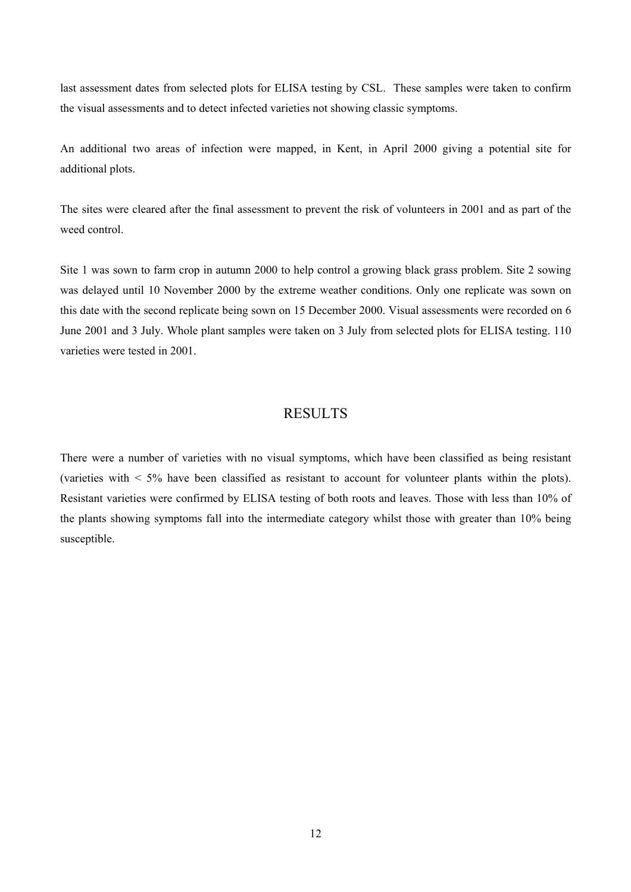<span id="page-14-0"></span>last assessment dates from selected plots for ELISA testing by CSL. These samples were taken to confirm the visual assessments and to detect infected varieties not showing classic symptoms.

An additional two areas of infection were mapped, in Kent, in April 2000 giving a potential site for additional plots.

The sites were cleared after the final assessment to prevent the risk of volunteers in 2001 and as part of the weed control

Site 1 was sown to farm crop in autumn 2000 to help control a growing black grass problem. Site 2 sowing was delayed until 10 November 2000 by the extreme weather conditions. Only one replicate was sown on this date with the second replicate being sown on 15 December 2000. Visual assessments were recorded on 6 June 2001 and 3 July. Whole plant samples were taken on 3 July from selected plots for ELISA testing. 110 varieties were tested in 2001.

#### **RESULTS**

There were a number of varieties with no visual symptoms, which have been classified as being resistant (varieties with < 5% have been classified as resistant to account for volunteer plants within the plots). Resistant varieties were confirmed by ELISA testing of both roots and leaves. Those with less than 10% of the plants showing symptoms fall into the intermediate category whilst those with greater than 10% being susceptible.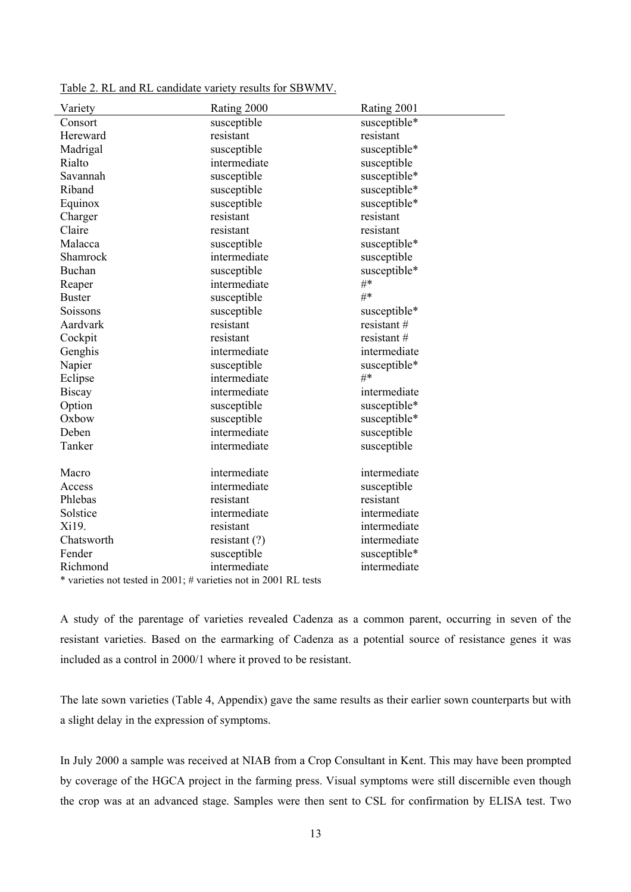| Variety                                                          | Rating 2000     | Rating 2001  |  |  |
|------------------------------------------------------------------|-----------------|--------------|--|--|
| Consort                                                          | susceptible     | susceptible* |  |  |
| Hereward                                                         | resistant       | resistant    |  |  |
| Madrigal                                                         | susceptible     | susceptible* |  |  |
| Rialto                                                           | intermediate    | susceptible  |  |  |
| Savannah                                                         | susceptible     | susceptible* |  |  |
| Riband                                                           | susceptible     | susceptible* |  |  |
| Equinox                                                          | susceptible     | susceptible* |  |  |
| Charger                                                          | resistant       | resistant    |  |  |
| Claire                                                           | resistant       | resistant    |  |  |
| Malacca                                                          | susceptible     | susceptible* |  |  |
| Shamrock                                                         | intermediate    | susceptible  |  |  |
| Buchan                                                           | susceptible     | susceptible* |  |  |
| Reaper                                                           | intermediate    | $#$ *        |  |  |
| <b>Buster</b>                                                    | susceptible     | #*           |  |  |
| Soissons                                                         | susceptible     | susceptible* |  |  |
| Aardvark                                                         | resistant       | resistant #  |  |  |
| Cockpit                                                          | resistant       | resistant #  |  |  |
| Genghis                                                          | intermediate    | intermediate |  |  |
| Napier                                                           | susceptible     | susceptible* |  |  |
| Eclipse                                                          | intermediate    | $#*$         |  |  |
| <b>Biscay</b>                                                    | intermediate    | intermediate |  |  |
| Option                                                           | susceptible     | susceptible* |  |  |
| Oxbow                                                            | susceptible     | susceptible* |  |  |
| Deben                                                            | intermediate    | susceptible  |  |  |
| Tanker                                                           | intermediate    | susceptible  |  |  |
|                                                                  |                 |              |  |  |
| Macro                                                            | intermediate    | intermediate |  |  |
| Access                                                           | intermediate    | susceptible  |  |  |
| Phlebas                                                          | resistant       | resistant    |  |  |
| Solstice                                                         | intermediate    | intermediate |  |  |
| Xi19.                                                            | resistant       | intermediate |  |  |
| Chatsworth                                                       | resistant $(?)$ | intermediate |  |  |
| Fender                                                           | susceptible     | susceptible* |  |  |
| Richmond                                                         | intermediate    | intermediate |  |  |
| * varieties not tested in 2001; # varieties not in 2001 RL tests |                 |              |  |  |

<span id="page-15-0"></span>Table 2. RL and RL candidate variety results for SBWMV.

A study of the parentage of varieties revealed Cadenza as a common parent, occurring in seven of the resistant varieties. Based on the earmarking of Cadenza as a potential source of resistance genes it was included as a control in 2000/1 where it proved to be resistant.

The late sown varieties (Table 4, Appendix) gave the same results as their earlier sown counterparts but with a slight delay in the expression of symptoms.

In July 2000 a sample was received at NIAB from a Crop Consultant in Kent. This may have been prompted by coverage of the HGCA project in the farming press. Visual symptoms were still discernible even though the crop was at an advanced stage. Samples were then sent to CSL for confirmation by ELISA test. Two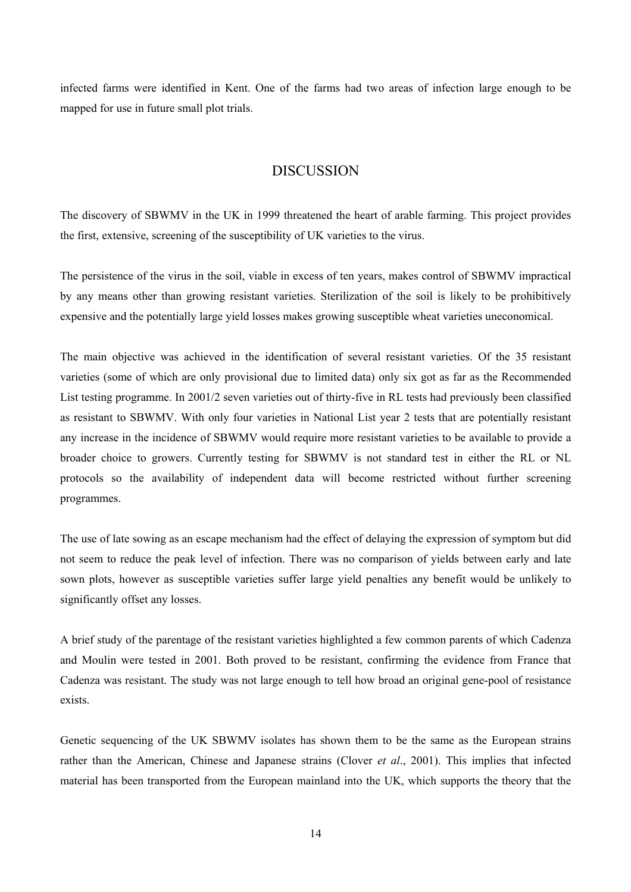<span id="page-16-0"></span>infected farms were identified in Kent. One of the farms had two areas of infection large enough to be mapped for use in future small plot trials.

#### DISCUSSION

The discovery of SBWMV in the UK in 1999 threatened the heart of arable farming. This project provides the first, extensive, screening of the susceptibility of UK varieties to the virus.

The persistence of the virus in the soil, viable in excess of ten years, makes control of SBWMV impractical by any means other than growing resistant varieties. Sterilization of the soil is likely to be prohibitively expensive and the potentially large yield losses makes growing susceptible wheat varieties uneconomical.

The main objective was achieved in the identification of several resistant varieties. Of the 35 resistant varieties (some of which are only provisional due to limited data) only six got as far as the Recommended List testing programme. In 2001/2 seven varieties out of thirty-five in RL tests had previously been classified as resistant to SBWMV. With only four varieties in National List year 2 tests that are potentially resistant any increase in the incidence of SBWMV would require more resistant varieties to be available to provide a broader choice to growers. Currently testing for SBWMV is not standard test in either the RL or NL protocols so the availability of independent data will become restricted without further screening programmes.

The use of late sowing as an escape mechanism had the effect of delaying the expression of symptom but did not seem to reduce the peak level of infection. There was no comparison of yields between early and late sown plots, however as susceptible varieties suffer large yield penalties any benefit would be unlikely to significantly offset any losses.

A brief study of the parentage of the resistant varieties highlighted a few common parents of which Cadenza and Moulin were tested in 2001. Both proved to be resistant, confirming the evidence from France that Cadenza was resistant. The study was not large enough to tell how broad an original gene-pool of resistance exists.

Genetic sequencing of the UK SBWMV isolates has shown them to be the same as the European strains rather than the American, Chinese and Japanese strains (Clover *et al*., 2001). This implies that infected material has been transported from the European mainland into the UK, which supports the theory that the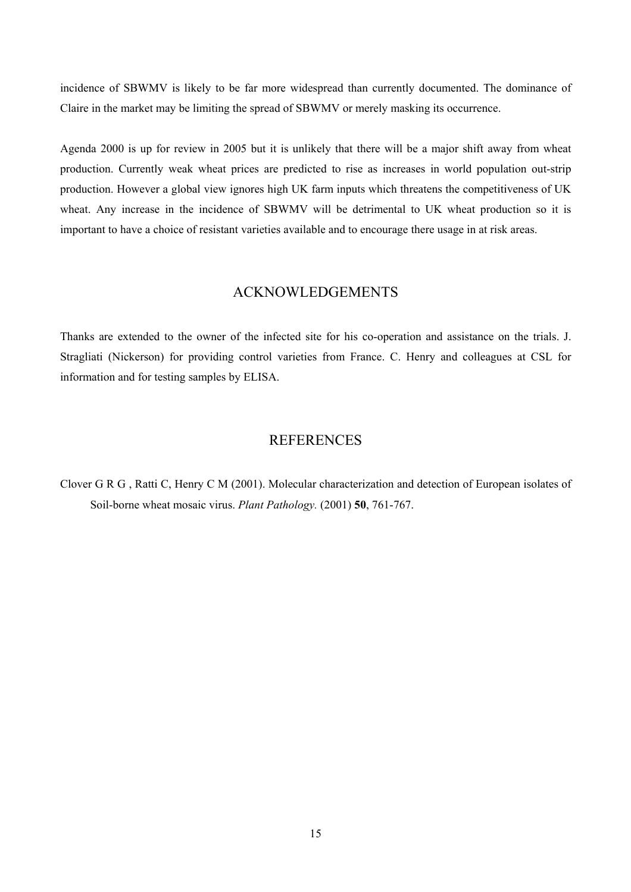<span id="page-17-0"></span>incidence of SBWMV is likely to be far more widespread than currently documented. The dominance of Claire in the market may be limiting the spread of SBWMV or merely masking its occurrence.

Agenda 2000 is up for review in 2005 but it is unlikely that there will be a major shift away from wheat production. Currently weak wheat prices are predicted to rise as increases in world population out-strip production. However a global view ignores high UK farm inputs which threatens the competitiveness of UK wheat. Any increase in the incidence of SBWMV will be detrimental to UK wheat production so it is important to have a choice of resistant varieties available and to encourage there usage in at risk areas.

#### ACKNOWLEDGEMENTS

Thanks are extended to the owner of the infected site for his co-operation and assistance on the trials. J. Stragliati (Nickerson) for providing control varieties from France. C. Henry and colleagues at CSL for information and for testing samples by ELISA.

## **REFERENCES**

Clover G R G , Ratti C, Henry C M (2001). Molecular characterization and detection of European isolates of Soil-borne wheat mosaic virus. *Plant Pathology.* (2001) **50**, 761-767.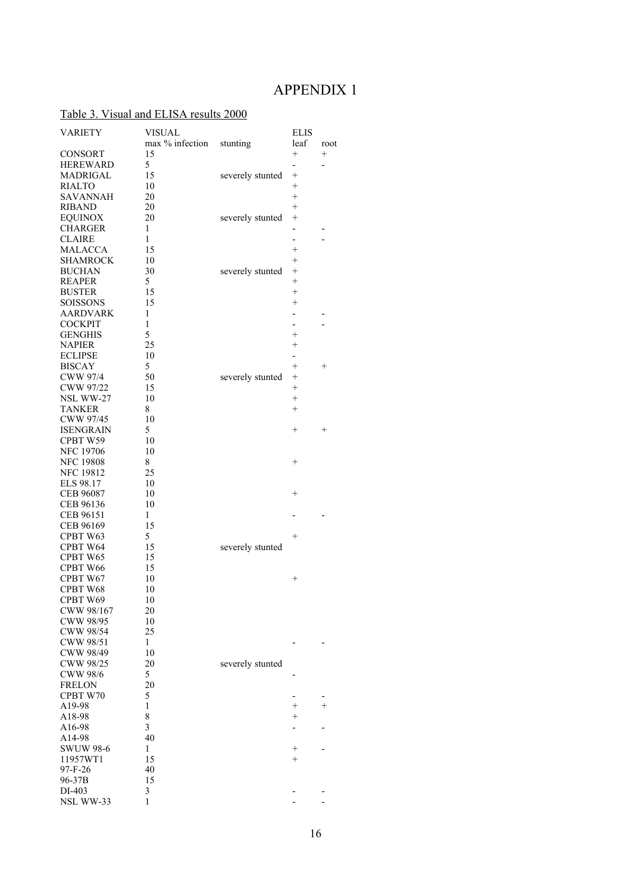# APPENDIX 1

## <span id="page-18-0"></span>Table 3. Visual and ELISA results 2000

| <b>VARIETY</b>   | <b>VISUAL</b>           |                  | <b>ELIS</b>              |                |
|------------------|-------------------------|------------------|--------------------------|----------------|
|                  | max % infection         | stunting         | leaf                     | root           |
| <b>CONSORT</b>   | 15                      |                  | $^{+}$                   | $^{+}$         |
| <b>HEREWARD</b>  | 5                       |                  | $\overline{\phantom{0}}$ | $\overline{a}$ |
|                  | 15                      |                  | $^{+}$                   |                |
| MADRIGAL         |                         | severely stunted | $^{+}$                   |                |
| <b>RIALTO</b>    | 10                      |                  |                          |                |
| <b>SAVANNAH</b>  | 20                      |                  | $^{+}$                   |                |
| RIBAND           | 20                      |                  | $^{+}$                   |                |
| <b>EQUINOX</b>   | 20                      | severely stunted | $^{+}$                   |                |
| <b>CHARGER</b>   | 1                       |                  | $\overline{\phantom{0}}$ |                |
| <b>CLAIRE</b>    | 1                       |                  |                          |                |
| MALACCA          | 15                      |                  | $^{+}$                   |                |
| <b>SHAMROCK</b>  | 10                      |                  | $^{+}$                   |                |
| <b>BUCHAN</b>    | 30                      | severely stunted | $^{+}$                   |                |
| <b>REAPER</b>    | 5                       |                  | $^{+}$                   |                |
| <b>BUSTER</b>    | 15                      |                  | $^{+}$                   |                |
| <b>SOISSONS</b>  | 15                      |                  | $^{+}$                   |                |
| <b>AARDVARK</b>  | 1                       |                  | -                        |                |
| <b>COCKPIT</b>   | 1                       |                  | $\overline{\phantom{0}}$ |                |
| <b>GENGHIS</b>   | 5                       |                  | $^{+}$                   |                |
| <b>NAPIER</b>    | 25                      |                  | $^{+}$                   |                |
| <b>ECLIPSE</b>   | 10                      |                  | $\overline{\phantom{0}}$ |                |
| <b>BISCAY</b>    | 5                       |                  | $^{+}$                   | $^{+}$         |
|                  |                         |                  |                          |                |
| <b>CWW 97/4</b>  | 50                      | severely stunted | $\! + \!\!\!\!$          |                |
| CWW 97/22        | 15                      |                  | $+$                      |                |
| NSL WW-27        | 10                      |                  | $^{+}$                   |                |
| <b>TANKER</b>    | 8                       |                  | $^{+}$                   |                |
| CWW 97/45        | 10                      |                  |                          |                |
| <b>ISENGRAIN</b> | 5                       |                  | $^{+}$                   | $^{+}$         |
| CPBT W59         | 10                      |                  |                          |                |
| <b>NFC 19706</b> | 10                      |                  |                          |                |
| <b>NFC 19808</b> | 8                       |                  | $^{+}$                   |                |
| <b>NFC 19812</b> | 25                      |                  |                          |                |
| ELS 98.17        | 10                      |                  |                          |                |
| CEB 96087        | 10                      |                  | $^{+}$                   |                |
| CEB 96136        | 10                      |                  |                          |                |
| CEB 96151        | 1                       |                  |                          |                |
| CEB 96169        | 15                      |                  |                          |                |
| CPBT W63         | 5                       |                  | $^{+}$                   |                |
| CPBT W64         | 15                      | severely stunted |                          |                |
| CPBT W65         | 15                      |                  |                          |                |
| CPBT W66         | 15                      |                  |                          |                |
|                  |                         |                  |                          |                |
| CPBT W67         | 10                      |                  | $^+$                     |                |
| CPBT W68         | 10                      |                  |                          |                |
| CPBT W69         | 10                      |                  |                          |                |
| CWW 98/167       | 20                      |                  |                          |                |
| CWW 98/95        | 10                      |                  |                          |                |
| CWW 98/54        | 25                      |                  |                          |                |
| CWW 98/51        | 1                       |                  |                          |                |
| CWW 98/49        | 10                      |                  |                          |                |
| CWW 98/25        | 20                      | severely stunted |                          |                |
| <b>CWW 98/6</b>  | 5                       |                  |                          |                |
| <b>FRELON</b>    | 20                      |                  |                          |                |
| CPBT W70         | 5                       |                  |                          |                |
| A19-98           | $\mathbf{1}$            |                  | $^+$                     | $^{+}$         |
| A18-98           | 8                       |                  | $^+$                     |                |
| A16-98           | $\overline{\mathbf{3}}$ |                  |                          |                |
| A14-98           | 40                      |                  |                          |                |
| <b>SWUW 98-6</b> | 1                       |                  |                          |                |
|                  |                         |                  | $^+$<br>$^{+}$           |                |
| 11957WT1         | 15                      |                  |                          |                |
| $97-F-26$        | 40                      |                  |                          |                |
| 96-37B           | 15                      |                  |                          |                |
| DI-403           | 3                       |                  |                          |                |
| NSL WW-33        | 1                       |                  |                          |                |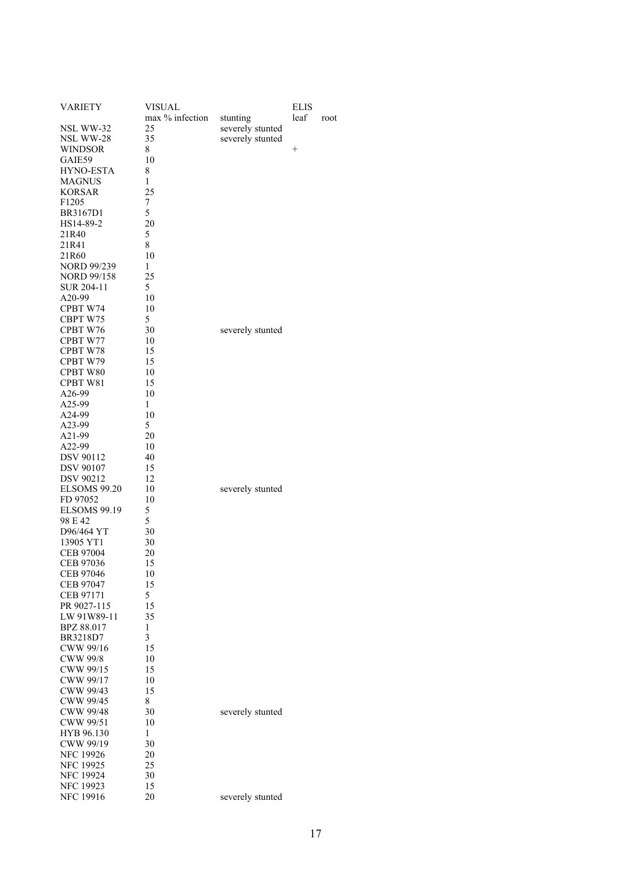| <b>VARIETY</b>      | <b>VISUAL</b><br>max % infection |                              | ELIS<br>leaf    |      |
|---------------------|----------------------------------|------------------------------|-----------------|------|
| NSL WW-32           | 25                               | stunting<br>severely stunted |                 | root |
| NSL WW-28           | 35                               | severely stunted             |                 |      |
| <b>WINDSOR</b>      | 8                                |                              | $\! + \!\!\!\!$ |      |
| GAIE59              | 10                               |                              |                 |      |
| HYNO-ESTA           | 8                                |                              |                 |      |
| <b>MAGNUS</b>       | 1                                |                              |                 |      |
| <b>KORSAR</b>       | 25                               |                              |                 |      |
| F1205               | 7                                |                              |                 |      |
| BR3167D1            | 5                                |                              |                 |      |
| HS14-89-2           | 20                               |                              |                 |      |
| 21R40               | 5                                |                              |                 |      |
| 21R41               | 8                                |                              |                 |      |
| 21R60               | 10                               |                              |                 |      |
| <b>NORD 99/239</b>  | 1                                |                              |                 |      |
| <b>NORD 99/158</b>  | 25                               |                              |                 |      |
| SUR 204-11          | 5                                |                              |                 |      |
| A20-99              | 10                               |                              |                 |      |
| CPBT W74            | 10                               |                              |                 |      |
| CBPT W75            | 5                                |                              |                 |      |
| CPBT W76            | 30                               | severely stunted             |                 |      |
| CPBT W77            | 10                               |                              |                 |      |
| CPBT W78            | 15                               |                              |                 |      |
| CPBT W79            | 15                               |                              |                 |      |
| CPBT W80            | 10                               |                              |                 |      |
| CPBT W81            | 15                               |                              |                 |      |
| A26-99              | 10                               |                              |                 |      |
| A25-99              | 1                                |                              |                 |      |
| A24-99              | 10                               |                              |                 |      |
| A23-99              | 5                                |                              |                 |      |
| A21-99              | 20                               |                              |                 |      |
| A22-99              | 10                               |                              |                 |      |
| DSV 90112           | 40                               |                              |                 |      |
| <b>DSV 90107</b>    | 15                               |                              |                 |      |
| <b>DSV 90212</b>    | 12                               |                              |                 |      |
| <b>ELSOMS 99.20</b> | 10                               | severely stunted             |                 |      |
| FD 97052            | 10                               |                              |                 |      |
| ELSOMS 99.19        | 5                                |                              |                 |      |
| 98 E 42             | 5                                |                              |                 |      |
| D96/464 YT          | 30                               |                              |                 |      |
| 13905 YT1           | 30                               |                              |                 |      |
| CEB 97004           | 20                               |                              |                 |      |
| CEB 97036           | 15                               |                              |                 |      |
| CEB 97046           | 10                               |                              |                 |      |
| CEB 97047           | 15                               |                              |                 |      |
| CEB 97171           | 5                                |                              |                 |      |
| PR 9027-115         | 15                               |                              |                 |      |
| LW 91W89-11         | 35                               |                              |                 |      |
| BPZ 88.017          | 1                                |                              |                 |      |
| BR3218D7            | 3                                |                              |                 |      |
| CWW 99/16           | 15                               |                              |                 |      |
| <b>CWW 99/8</b>     | 10                               |                              |                 |      |
| CWW 99/15           | 15                               |                              |                 |      |
| CWW 99/17           | 10                               |                              |                 |      |
| CWW 99/43           | 15                               |                              |                 |      |
| CWW 99/45           | 8                                |                              |                 |      |
| <b>CWW 99/48</b>    | 30                               | severely stunted             |                 |      |
| CWW 99/51           | 10                               |                              |                 |      |
| HYB 96.130          | 1                                |                              |                 |      |
| CWW 99/19           | 30                               |                              |                 |      |
| <b>NFC 19926</b>    | 20                               |                              |                 |      |
| <b>NFC 19925</b>    | 25                               |                              |                 |      |
| <b>NFC 19924</b>    | 30                               |                              |                 |      |
| <b>NFC 19923</b>    | 15                               |                              |                 |      |
| NFC 19916           | 20                               | severely stunted             |                 |      |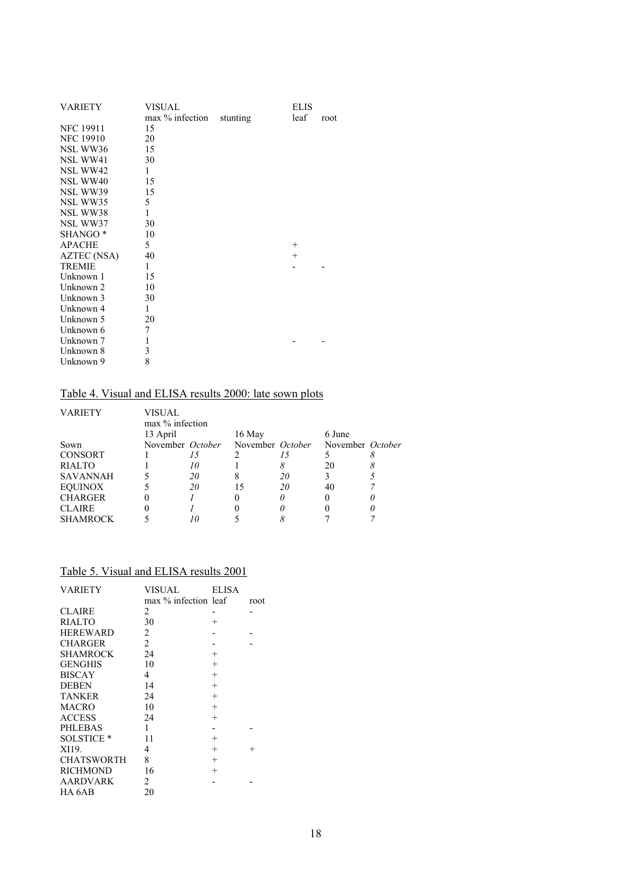<span id="page-20-0"></span>

| <b>VARIETY</b>      | VISUAL          |          | <b>ELIS</b> |      |
|---------------------|-----------------|----------|-------------|------|
|                     | max % infection | stunting | leaf        | root |
| <b>NFC 19911</b>    | 15              |          |             |      |
| <b>NFC 19910</b>    | 20              |          |             |      |
| NSL WW36            | 15              |          |             |      |
| NSL WW41            | 30              |          |             |      |
| NSL WW42            | 1               |          |             |      |
| NSL WW40            | 15              |          |             |      |
| NSL WW39            | 15              |          |             |      |
| NSL WW35            | 5               |          |             |      |
| NSL WW38            | 1               |          |             |      |
| NSL WW37            | 30              |          |             |      |
| SHANGO <sup>*</sup> | 10              |          |             |      |
| <b>APACHE</b>       | 5               |          | $^{+}$      |      |
| <b>AZTEC</b> (NSA)  | 40              |          | $^{+}$      |      |
| <b>TREMIE</b>       | 1               |          |             |      |
| Unknown 1           | 15              |          |             |      |
| Unknown 2           | 10              |          |             |      |
| Unknown 3           | 30              |          |             |      |
| Unknown 4           | 1               |          |             |      |
| Unknown 5           | 20              |          |             |      |
| Unknown 6           | 7               |          |             |      |
| Unknown 7           | 1               |          |             |      |
| Unknown 8           | 3               |          |             |      |
| Unknown 9           | 8               |          |             |      |

# Table 4. Visual and ELISA results 2000: late sown plots

| <b>VARIETY</b>  | VISUAL             |    |                  |    |                  |  |
|-----------------|--------------------|----|------------------|----|------------------|--|
|                 | $\max$ % infection |    |                  |    |                  |  |
|                 | 13 April           |    | 16 May           |    | 6 June           |  |
| Sown            | November October   |    | November October |    | November October |  |
| <b>CONSORT</b>  |                    |    |                  |    |                  |  |
| <b>RIALTO</b>   |                    |    |                  |    | 20               |  |
| <b>SAVANNAH</b> |                    | 20 |                  | 20 |                  |  |
| <b>EQUINOX</b>  |                    | 20 |                  | 20 | 40               |  |
| <b>CHARGER</b>  |                    |    |                  |    |                  |  |
| <b>CLAIRE</b>   |                    |    |                  |    |                  |  |
| <b>SHAMROCK</b> |                    |    |                  |    |                  |  |

## Table 5. Visual and ELISA results 2001

| <b>VARIETY</b>        | VISUAL               | <b>ELISA</b> |        |
|-----------------------|----------------------|--------------|--------|
|                       | max % infection leaf |              | root   |
| <b>CLAIRE</b>         | 2                    |              |        |
| <b>RIALTO</b>         | 30                   | $^{+}$       |        |
| <b>HEREWARD</b>       | 2                    |              |        |
| CHARGER               | $\overline{c}$       |              |        |
| SHAMROCK              | 24                   | $^{+}$       |        |
| <b>GENGHIS</b>        | 10                   | $^{+}$       |        |
| <b>BISCAY</b>         | 4                    | $^{+}$       |        |
| <b>DEBEN</b>          | 14                   | $^{+}$       |        |
| <b>TANKER</b>         | 24                   | $^{+}$       |        |
| MACRO                 | 10                   | $^{+}$       |        |
| <b>ACCESS</b>         | 24                   | $^{+}$       |        |
| <b>PHLEBAS</b>        | 1                    |              |        |
| SOLSTICE <sup>*</sup> | 11                   | $^{+}$       |        |
| XI19.                 | 4                    | $^{+}$       | $^{+}$ |
| <b>CHATSWORTH</b>     | 8                    | $^{+}$       |        |
| <b>RICHMOND</b>       | 16                   | $^{+}$       |        |
| AARDVARK              | 2                    |              |        |
| HA 6AB                | 20                   |              |        |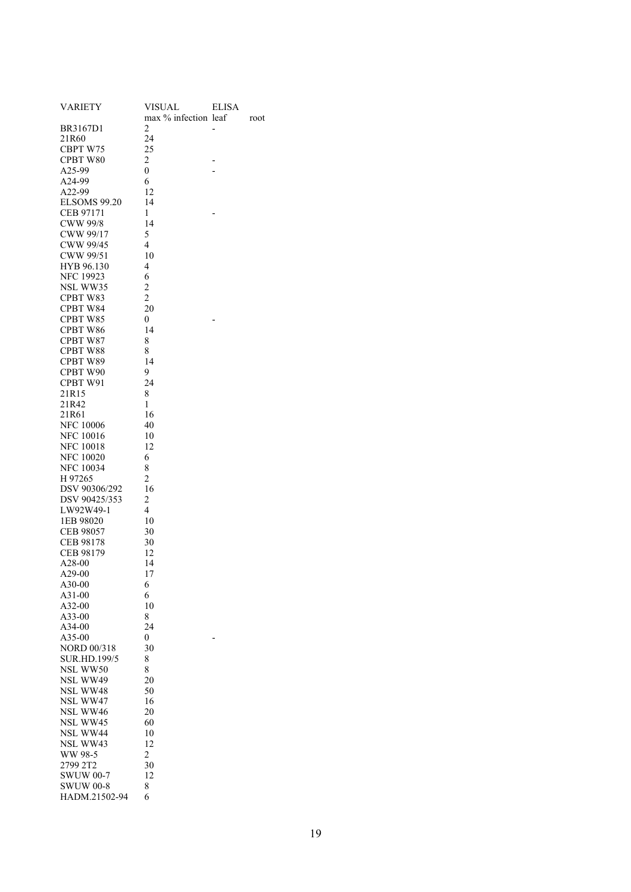| VARIETY             | VISUAL               | ELISA |      |
|---------------------|----------------------|-------|------|
|                     | max % infection leaf |       | root |
| BR3167D1            | 2                    |       |      |
| 21R60               | 24                   |       |      |
| CBPT W75            | 25                   |       |      |
| CPBT W80            | 2                    |       |      |
| A25-99              | $\boldsymbol{0}$     |       |      |
| A24-99              | 6                    |       |      |
| A22-99              | 12                   |       |      |
| <b>ELSOMS 99.20</b> | 14                   |       |      |
| CEB 97171           | 1                    |       |      |
| <b>CWW 99/8</b>     | 14                   |       |      |
| CWW 99/17           | 5                    |       |      |
| CWW 99/45           | 4                    |       |      |
| CWW 99/51           | 10                   |       |      |
| HYB 96.130          | 4                    |       |      |
|                     |                      |       |      |
| <b>NFC 19923</b>    | 6                    |       |      |
| NSL WW35            | $\overline{c}$       |       |      |
| CPBT W83            | $\overline{c}$       |       |      |
| CPBT W84            | 20                   |       |      |
| CPBT W85            | 0                    |       |      |
| CPBT W86            | 14                   |       |      |
| CPBT W87            | 8                    |       |      |
| CPBT W88            | 8                    |       |      |
| CPBT W89            | 14                   |       |      |
| CPBT W90            | 9                    |       |      |
| CPBT W91            | 24                   |       |      |
| 21R15               | 8                    |       |      |
| 21R42               | 1                    |       |      |
| 21R61               | 16                   |       |      |
| <b>NFC 10006</b>    | 40                   |       |      |
| <b>NFC 10016</b>    | 10                   |       |      |
| <b>NFC 10018</b>    | 12                   |       |      |
| <b>NFC 10020</b>    | 6                    |       |      |
| <b>NFC 10034</b>    | 8                    |       |      |
| H 97265             | $\overline{c}$       |       |      |
| DSV 90306/292       | 16                   |       |      |
| DSV 90425/353       | $\overline{c}$       |       |      |
| LW92W49-1           | 4                    |       |      |
| 1EB 98020           | 10                   |       |      |
| CEB 98057           | 30                   |       |      |
| CEB 98178           | 30                   |       |      |
| CEB 98179           | 12                   |       |      |
| A28-00              | 14                   |       |      |
| A29-00              | 17                   |       |      |
| A30-00              | 6                    |       |      |
| A31-00              | 6                    |       |      |
| A32-00              | 10                   |       |      |
| A33-00              | 8                    |       |      |
| A34-00              | 24                   |       |      |
| A35-00              | 0                    |       |      |
| <b>NORD 00/318</b>  | 30                   |       |      |
| <b>SUR.HD.199/5</b> | 8                    |       |      |
| NSL WW50            | 8                    |       |      |
| NSL WW49            | 20                   |       |      |
| <b>NSL WW48</b>     | 50                   |       |      |
| NSL WW47            | 16                   |       |      |
| NSL WW46            | 20                   |       |      |
| NSL WW45            | 60                   |       |      |
| NSL WW44            | 10                   |       |      |
| NSL WW43            | 12                   |       |      |
| WW 98-5             | 2                    |       |      |
| 2799 2T2            | 30                   |       |      |
| <b>SWUW 00-7</b>    | 12                   |       |      |
| <b>SWUW 00-8</b>    | 8                    |       |      |
| HADM.21502-94       | 6                    |       |      |